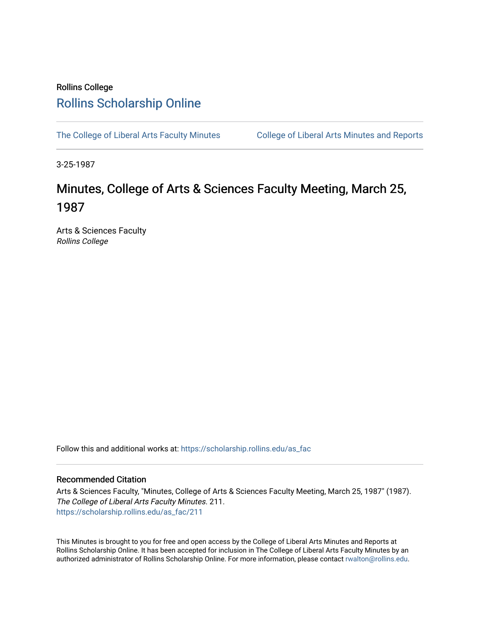## Rollins College [Rollins Scholarship Online](https://scholarship.rollins.edu/)

[The College of Liberal Arts Faculty Minutes](https://scholarship.rollins.edu/as_fac) College of Liberal Arts Minutes and Reports

3-25-1987

# Minutes, College of Arts & Sciences Faculty Meeting, March 25, 1987

Arts & Sciences Faculty Rollins College

Follow this and additional works at: [https://scholarship.rollins.edu/as\\_fac](https://scholarship.rollins.edu/as_fac?utm_source=scholarship.rollins.edu%2Fas_fac%2F211&utm_medium=PDF&utm_campaign=PDFCoverPages) 

## Recommended Citation

Arts & Sciences Faculty, "Minutes, College of Arts & Sciences Faculty Meeting, March 25, 1987" (1987). The College of Liberal Arts Faculty Minutes. 211. [https://scholarship.rollins.edu/as\\_fac/211](https://scholarship.rollins.edu/as_fac/211?utm_source=scholarship.rollins.edu%2Fas_fac%2F211&utm_medium=PDF&utm_campaign=PDFCoverPages) 

This Minutes is brought to you for free and open access by the College of Liberal Arts Minutes and Reports at Rollins Scholarship Online. It has been accepted for inclusion in The College of Liberal Arts Faculty Minutes by an authorized administrator of Rollins Scholarship Online. For more information, please contact [rwalton@rollins.edu](mailto:rwalton@rollins.edu).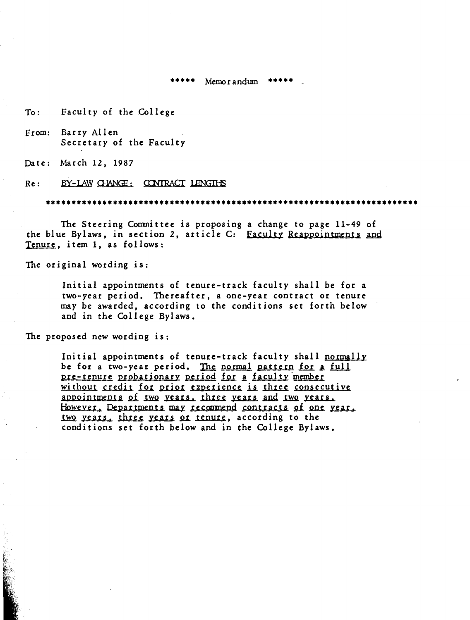$*****$  Memorandum \*\*\*\*\*

To: Faculty of the College

From: Barry Allen Secretary of the Faculty

Date: March 12, 1987

#### Re: BY-LAW CHANGE: CONTRACT LENGTHS

••••••••••••••••••••••••••••••••••••••••••••••••••••••••••••••••••••••••

The Steering Conmittee is proposing a change to page 11-49 of the blue Bylaws, in section 2, article C: Faculty Reappointments and Tenure, item 1, as follows:

The original wording is:

Initial appointments of tenure-track faculty shall be for a two-year period. Thereafter, a one-year contract or tenure may be awarded, according to the conditions set forth below and in the College Bylaws.

The proposed new wording is:

Initial appointments of tenure-track faculty shall normally be for a two-year period. The normal pattern for a full pre-tenure probationary period for a faculty member without credit for prior experience is three consecutive appointments of two years, three years and two years. However, Departments may recommend contracts of one year. two years, three years or tenure, according to the conditions set forth below and in the College Bylaws.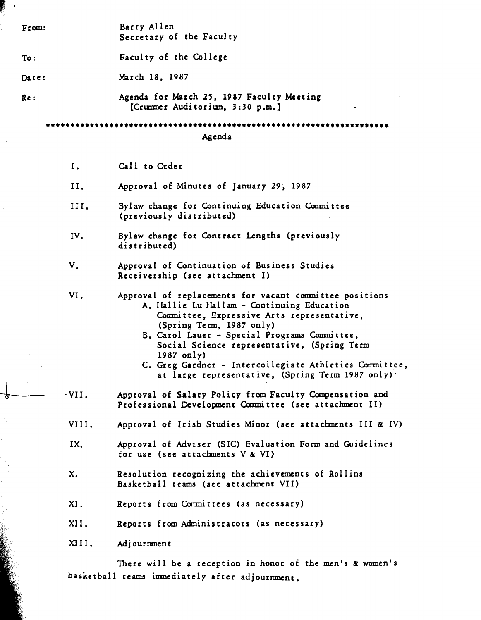| From:  | Barry Allen<br>Secretary of the Faculty                                                                                                                                                                                                                                                                                                                                                                    |  |  |  |  |  |
|--------|------------------------------------------------------------------------------------------------------------------------------------------------------------------------------------------------------------------------------------------------------------------------------------------------------------------------------------------------------------------------------------------------------------|--|--|--|--|--|
| To:    | Faculty of the College                                                                                                                                                                                                                                                                                                                                                                                     |  |  |  |  |  |
| Date:  | March 18, 1987                                                                                                                                                                                                                                                                                                                                                                                             |  |  |  |  |  |
| Re:    | Agenda for March 25, 1987 Faculty Meeting<br>[Crummer Auditorium, 3:30 p.m.]                                                                                                                                                                                                                                                                                                                               |  |  |  |  |  |
| Agenda |                                                                                                                                                                                                                                                                                                                                                                                                            |  |  |  |  |  |
| Ι.     | Call to Order                                                                                                                                                                                                                                                                                                                                                                                              |  |  |  |  |  |
| II.    | Approval of Minutes of January 29, 1987                                                                                                                                                                                                                                                                                                                                                                    |  |  |  |  |  |
| III.   | Bylaw change for Continuing Education Committee<br>(previously distributed)                                                                                                                                                                                                                                                                                                                                |  |  |  |  |  |
| IV.    | Bylaw change for Contract Lengths (previously<br>distributed)                                                                                                                                                                                                                                                                                                                                              |  |  |  |  |  |
| V.     | Approval of Continuation of Business Studies<br>Receivership (see attachment I)                                                                                                                                                                                                                                                                                                                            |  |  |  |  |  |
| VI.    | Approval of replacements for vacant committee positions<br>A. Hallie Lu Hallam - Continuing Education<br>Committee, Expressive Arts representative,<br>(Spring Term, 1987 only)<br>B. Carol Lauer - Special Programs Committee,<br>Social Science representative, (Spring Term<br>1987 only)<br>C. Greg Gardner - Intercollegiate Athletics Committee,<br>at large representative, (Spring Term 1987 only) |  |  |  |  |  |
| · VII. | Approval of Salary Policy from Faculty Compensation and<br>Professional Development Committee (see attachment II)                                                                                                                                                                                                                                                                                          |  |  |  |  |  |
| VIII.  | Approval of Irish Studies Minor (see attachments III & IV)                                                                                                                                                                                                                                                                                                                                                 |  |  |  |  |  |
| IX.    | Approval of Adviser (SIC) Evaluation Form and Guidelines<br>for use (see attachments V & VI)                                                                                                                                                                                                                                                                                                               |  |  |  |  |  |
| x.     | Resolution recognizing the achievements of Rollins<br>Basketball teams (see attachment VII)                                                                                                                                                                                                                                                                                                                |  |  |  |  |  |
| XI.    | Reports from Committees (as necessary)                                                                                                                                                                                                                                                                                                                                                                     |  |  |  |  |  |
| XII.   | Reports from Administrators (as necessary)                                                                                                                                                                                                                                                                                                                                                                 |  |  |  |  |  |
| XIII.  | Adjournment                                                                                                                                                                                                                                                                                                                                                                                                |  |  |  |  |  |
|        | There will be a reception in honor of the men's & women's<br>basketball teams immediately after adjournment.                                                                                                                                                                                                                                                                                               |  |  |  |  |  |
|        |                                                                                                                                                                                                                                                                                                                                                                                                            |  |  |  |  |  |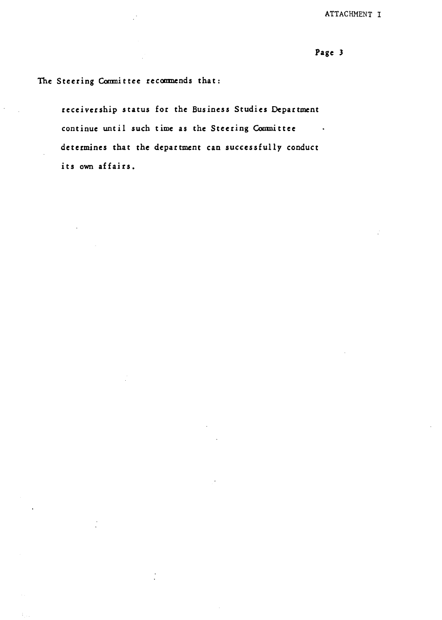ATTACHMENT I

Page 3

The Steering Committee recommends that:

receivership status for the Business Studies Department continue until such time as the Steering Committee determines that the department can successfully conduct its own affairs.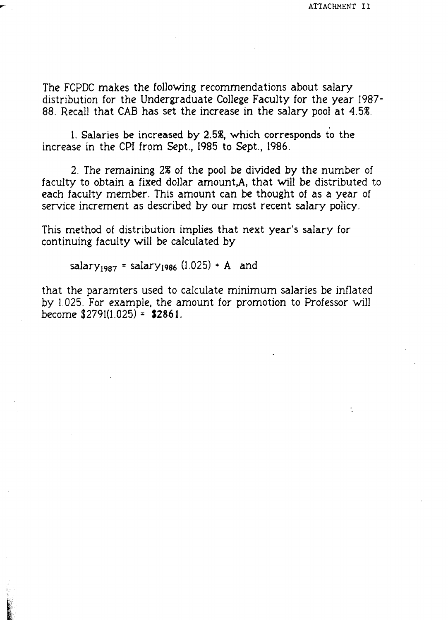÷.

The FCPDC makes the following recommendations about salary distribution for the Undergraduate College Faculty for the year 1987- 88. Recall that CAB has set the increase in the salary pool at 4.5%.

1. Salaries be increased by 2.5%, which corresponds to the increase in the CPI from Sept., 1985 to Sept., 1986.

2. The remaining 2% of the pool be divided by the number of faculty to obtain a fixed dollar amount,A, that will be distributed to each faculty member. This amount can be thought of as a year of service increment as described by our most recent salary policy.

This method of distribution implies that next year's salary for continuing faculty will be calculated by

salary<sub>1987</sub> = salary<sub>1986</sub> (1.025) + A and

that the paramters used to calculate minimum salaries be inflated by 1.025. For example, the amount for promotion to Professor will become \$2791(1.025) = **\$2861.**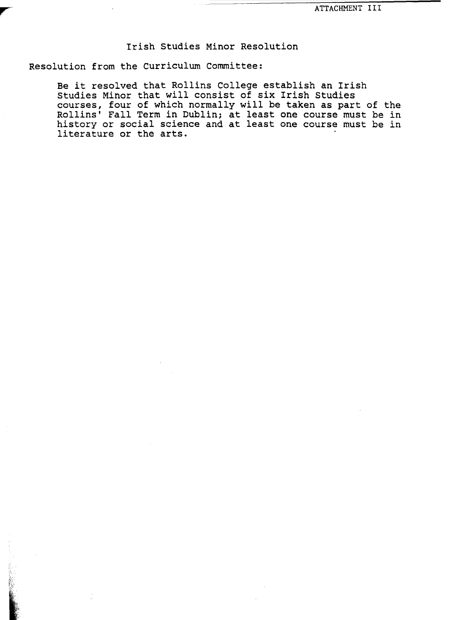## Irish Studies Minor Resolution

Resolution from the curriculum Committee:

Be it resolved that Rollins College establish an Irish Studies Minor that will consist of six Irish Studies courses, four of which normally will be taken as part of the Rollins' Fall Term in Dublin; at least one course must be in history or social science and at least one course must be in literature or the arts.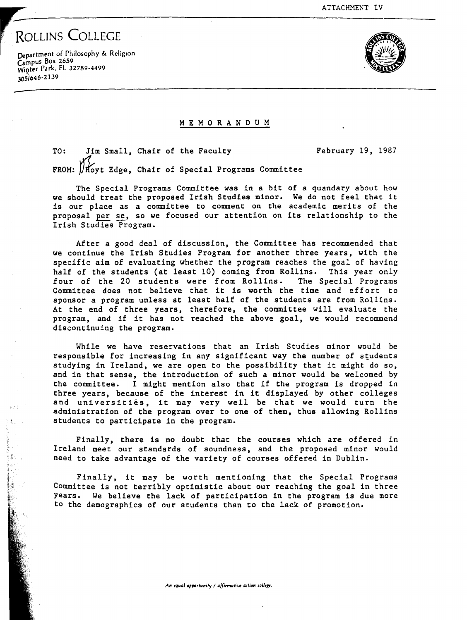February 19, 1987

ROLLINS COLLEGE

Ŝ

Department of Philosophy & Religion Campus Box 2659 Winter Park, FL 32789-4499 30si646-2139



#### M E M O R **A N** D U M

TO: FROM: UHoyt Edge, Chair of Special Programs Committee Jim Small, Chair of the Faculty

The Special Programs Committee was in a bit of a quandary about how we should treat the proposed Irish Studies minor. We do not feel that it is our place as a committee to comment on the academic merits of the proposal per se, so we focused our attention on its relationship to the Irish Studies Program.

After a good deal of discussion, the Committee has recommended that we continue the Irish Studies Program for another three years, with the specific aim of evaluating whether the program reaches the goal of having half of the students (at least 10) coming from Rollins. This year only four of the 20 students were from Rollins. The Special Programs four of the 20 students were from Rollins. Committee does not believe that it is worth the time and effort to sponsor a program unless at least half of the students are from Rollins. At the end of three years, therefore, the committee will evaluate the program, and if it has not reached the above goal, we would recommend discontinuing the program.

While we have reservations that an Irish Studies minor would be responsible for increasing in any significant way the number of students studying in Ireland, we are open to the possibility that it might do so, and in that sense, the introduction of such a minor would be welcomed by the committee. I might mention also that if the program is dropped in three years, because of the interest in it displayed by other colleges and universities, it may very well be that we would turn the administration of the program over to one of them, thus allowing Rollins students to participate in the program.

Finally, there is no doubt that the courses which are offered in Ireland meet our standards of soundness, and the proposed minor would need to take advantage of the variety of courses offered in Dublin.

Finally, it may be worth mentioning that the Special Programs Committee is not terribly optimistic about our reaching the goal in three years. We believe the lack of participation in the program is due more to the demographics of our students than to the lack of promotion.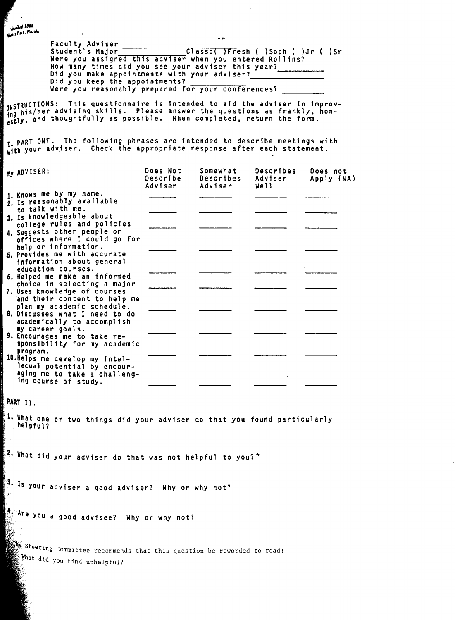**Audit 1885 Bunded Town**<br>Wales Park, Florida

Faculty Adviser Class:( )Fresh ( )Soph ( )Jr ( )Sr Were you assigned this adviser when you entered Rollins? How many times did you see your adviser this year? Did you make appointments with your adviser? ----- Did you keep the appointments? Were you reasonably prepared for your conferences?

 $\overline{a}$ 

JNSTRUCTIONS: Thfs questfonnafre fs intended to aid the adviser fn improv- fng his/her advising skills. Please answer the questions as frankly, honestly, and thoughtfully as possible. When completed, return the form.

PART ONE. The following phrases are intended to describe meetings with with your adviser. Check the appropriate response after each statement.

| My ADVISER:                                                  | Does Not<br>Describe<br>Adviser | Somewhat<br>Describes<br>Adviser | Describes<br>Adviser<br>Well | Does not<br>Apply (NA) |
|--------------------------------------------------------------|---------------------------------|----------------------------------|------------------------------|------------------------|
| 1. Knows me by my name.                                      |                                 |                                  |                              |                        |
| 2. Is reasonably available                                   |                                 |                                  |                              |                        |
| to talk with me.<br>3. Is knowledgeable about                |                                 |                                  |                              |                        |
| college rules and policies                                   |                                 |                                  |                              |                        |
| 4. Suggests other people or                                  |                                 |                                  |                              |                        |
| offices where I could go for                                 |                                 |                                  |                              |                        |
| help or information.                                         |                                 |                                  |                              |                        |
| 5. Provides me with accurate                                 |                                 |                                  |                              |                        |
| information about general                                    |                                 |                                  |                              |                        |
| education courses.                                           |                                 |                                  |                              |                        |
| 6. Helped me make an informed                                |                                 |                                  |                              |                        |
| choice in selecting a major.                                 |                                 |                                  |                              |                        |
| 7. Uses knowledge of courses<br>and their content to help me |                                 |                                  |                              |                        |
| plan my academic schedule.                                   |                                 |                                  |                              |                        |
| 8. Discusses what I need to do                               |                                 |                                  |                              |                        |
| academically to accomplish                                   |                                 |                                  |                              |                        |
| my career goals.                                             |                                 |                                  |                              |                        |
| 9. Encourages me to take re-                                 |                                 |                                  |                              |                        |
| sponsibility for my academic                                 |                                 |                                  |                              |                        |
| program.                                                     |                                 |                                  |                              |                        |
| 10. Helps me develop my intel-                               |                                 |                                  |                              |                        |
| lecual potential by encour-                                  |                                 |                                  |                              |                        |
| aging me to take a challeng-<br>ing course of study.         |                                 |                                  |                              |                        |
|                                                              |                                 |                                  |                              |                        |

**PART** I I.

1. **What** one or two things did your adviser do that you found particularly helpful?

i; 2, **What** dfd your adviser do that was not helpful to you?\*

 $\frac{1}{3}$ . Is your adviser a good adviser? Why or why not?

Are You a good advisee? Why or why not?

:, steering Committee recommends that this question be reworded to read: What did you find unhelpful?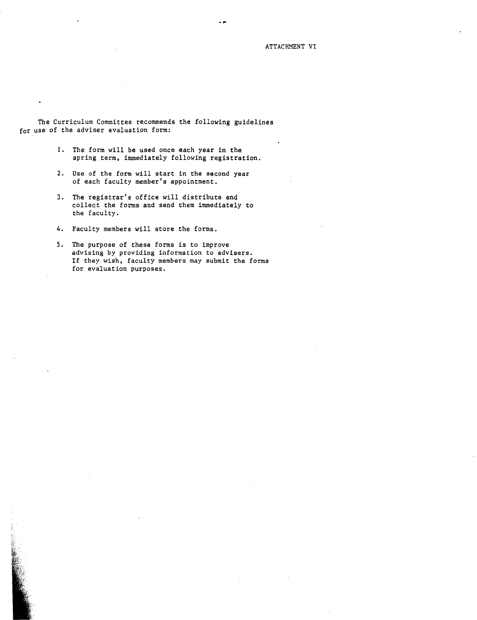ATTACHMENT VI

The Curriculum Committee recommends the following guidelines for use of the adviser evaluation form:

- l. The form will be used once each year in the spring term, immediately following registration.
- 2. Use of the form will start in the second year of each faculty member's appointment.
- 3. The registrar's office will distribute and collect the forms and send them immediately to the faculty.
- 4. Faculty members will store the forms.
- S. The purpose of these forms is to improve advising by providing information to advisers. If they wish, faculty members may submit the forms for evaluation purposes.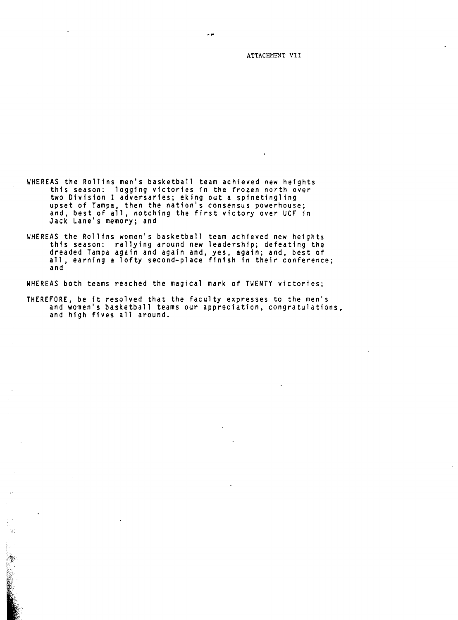ATTACHMENT VII

- WHEREAS the Rollins men's basketball team achieved new heights<br>this season: logging victories in the frozen north over two Division I adversaries; eking out a spinetingling<br>upset of Tampa, then the nation's consensus powerhouse; and, best of all, notching the first victory over UCF in Jack Lane's memory; and
- WHEREAS the Rollins women's basketball team achieved new heights this season: rallying around new leadership; defeating the dreaded Tampa again and again and, yes, again; and, best of all, earning a lofty second-place finish in their conference; and

WHEREAS both teams reached the magical mark of TWENTY victories;

ġ,

THEREFORE, be ft resolved that the faculty expresses to the men's and women's basketball teams our appreciation, congratulations, and high fives all around.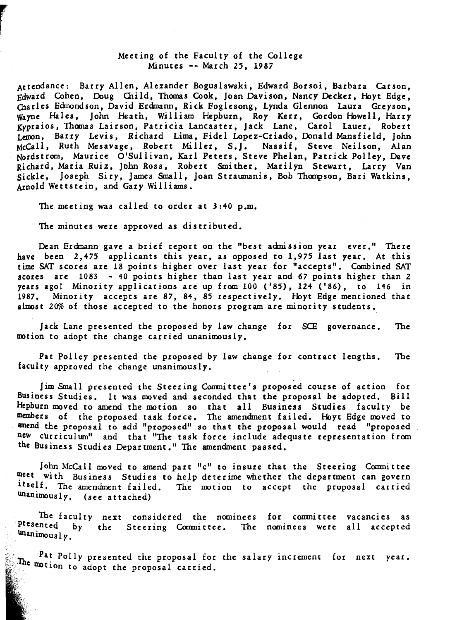### Meeting of the Faculty of the College Minutes -- March *25,* 1987

Attendance: Barry Allen, Alexander Boguslawski, Edward Borsoi, Barbara Carson, Edward Cohen, Doug Oiild, Thomas Cook, Joan Davison, Nancy Decker, Hoyt Edge, Charles Edmondson, David Erdmann, Rick Foglesong, Lynda Glennon Laura Greyson, Wayne Hales, John Heath, William Hepburn, Roy Kerr, Gordon Howell, Harry Kypraios, Thomas Lairson, Patricia Lancaster, Jack Lane, Carol Lauer, Robert Lemon, Barry Levis, Richard Lima, Fidel Lopez-Criado, Donald Mansfield, John McCall, Ruth Mesavage, Robert Miller, S.J. Nassif, Steve Neilson, Alan Nordstrom, Maurice O'Sullivan, Karl Peters, Steve Phelan, Patrick Polley, Dave Richard, Maria Ruiz, John Ross, Robert Smither, Marilyn Stewart, Larry Van Sickle, Joseph Siry, James Small, Joan Straumanis, Bob Thompson, Bari Watkins, Arnold Wettstein, and Gary Williams.

The meeting was called to order at 3:40 p.m.

The minutes were approved as distributed.

Dean Erdmann gave a brief report on the "best admission year ever." There have been 2,475 applicants this year, as opposed to 1,975 last year. At this time SAT scores are 18 points higher over last year for "accepts". Combined SAT scores are 1083 - 40 points higher than last year and *67* points higher than *2*  years ago! Minority applications are up from 100 ('85), 124 ('86), to 146 in 1987. Minority accepts are 87, 84, *85* respectively. Hoyt Edge mentioned that almost 20% of those accepted to the honors program are minority students.

Jack Lane presented the proposed by law change for SCE governance. The motion to adopt the change carried unanimously.

Pat Polley presented the proposed by law change for contract lengths. The faculty approved the change unanimously.

Jim Small presented the Steering Coumittee's proposed course of action for Business Studies. It was moved and seconded that the proposal be adopted. Bill Hepburn moved to amend the motion so that all Business Studies faculty be members of the proposed task force. The amendment failed. Hoyt Edge moved to amend the proposal to add "proposed" so that the proposal would read "proposed. new curriculum" and that "The task force include adequate representation from the Business Studies Department." The amendment passed.

John McCall moved to amend part "c" to insure that the Steering Committee meet with Business Studies to help deterime whether the department can govern itself. The amendment failed. The motion to accept the proposal carried unanimously. (see attached)

The faculty next considered the nominees for committee vacancies as<br><sup>presented</sup> by the Steering Committee. The nominees were all accepted Unanimous 1 *y.*  next considered the nominees for committee vacancies as

Pat Polly presented the proposal for the salary increment for next year. The motion to adopt the proposal carried.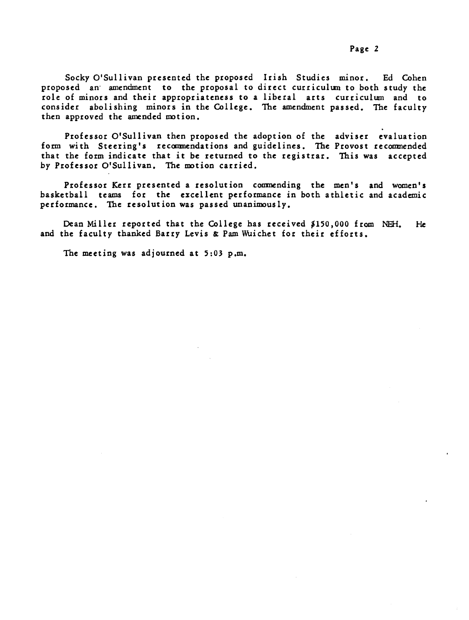Professor O'Sullivan then proposed the adoption of the adviser evaluation form with Steering's recoomendations and guidelines. The Provost recomnended that the form indicate that it be returned to the registrar. This was accepted by Professor O'Sullivan. The motion carried.

Professor Kerr presented a resolution coomending the men's and women's basketball teams for the excellent performance in both athletic and academic performance. The resolution was passed unanimously.

Dean Miller reported that the College has received \$150,000 from NEH. He and the faculty thanked Barry Levis & Pam Wuichet for their efforts.

The meeting was adjourned at 5:03 p.m.